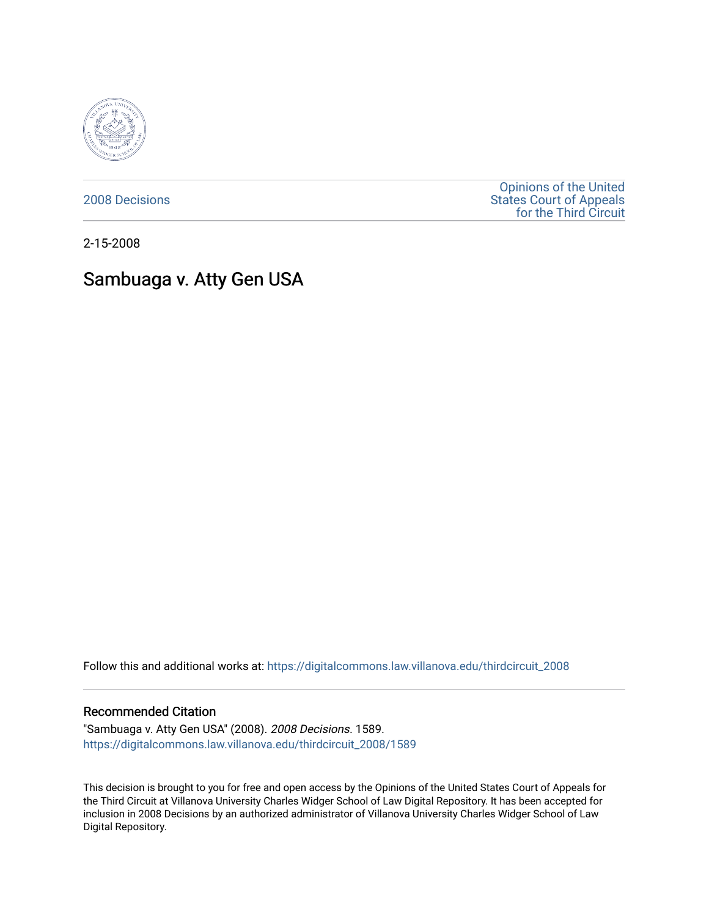

[2008 Decisions](https://digitalcommons.law.villanova.edu/thirdcircuit_2008)

[Opinions of the United](https://digitalcommons.law.villanova.edu/thirdcircuit)  [States Court of Appeals](https://digitalcommons.law.villanova.edu/thirdcircuit)  [for the Third Circuit](https://digitalcommons.law.villanova.edu/thirdcircuit) 

2-15-2008

# Sambuaga v. Atty Gen USA

Follow this and additional works at: [https://digitalcommons.law.villanova.edu/thirdcircuit\\_2008](https://digitalcommons.law.villanova.edu/thirdcircuit_2008?utm_source=digitalcommons.law.villanova.edu%2Fthirdcircuit_2008%2F1589&utm_medium=PDF&utm_campaign=PDFCoverPages) 

#### Recommended Citation

"Sambuaga v. Atty Gen USA" (2008). 2008 Decisions. 1589. [https://digitalcommons.law.villanova.edu/thirdcircuit\\_2008/1589](https://digitalcommons.law.villanova.edu/thirdcircuit_2008/1589?utm_source=digitalcommons.law.villanova.edu%2Fthirdcircuit_2008%2F1589&utm_medium=PDF&utm_campaign=PDFCoverPages) 

This decision is brought to you for free and open access by the Opinions of the United States Court of Appeals for the Third Circuit at Villanova University Charles Widger School of Law Digital Repository. It has been accepted for inclusion in 2008 Decisions by an authorized administrator of Villanova University Charles Widger School of Law Digital Repository.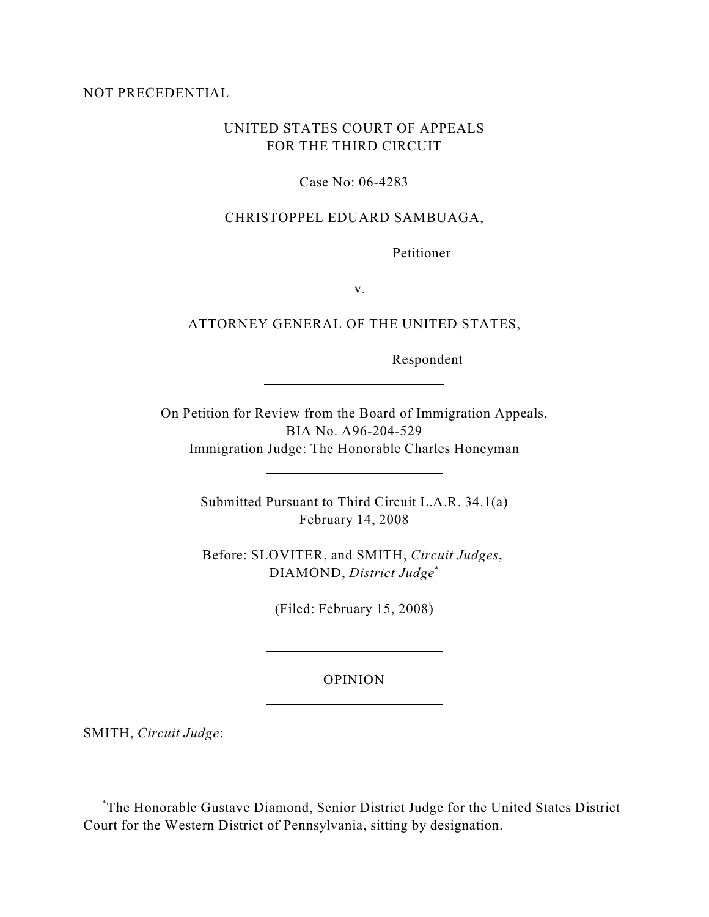#### NOT PRECEDENTIAL

## UNITED STATES COURT OF APPEALS FOR THE THIRD CIRCUIT

#### Case No: 06-4283

#### CHRISTOPPEL EDUARD SAMBUAGA,

Petitioner

v.

### ATTORNEY GENERAL OF THE UNITED STATES,

Respondent

On Petition for Review from the Board of Immigration Appeals, BIA No. A96-204-529 Immigration Judge: The Honorable Charles Honeyman

 $\overline{a}$ 

l

 $\overline{a}$ 

l

Submitted Pursuant to Third Circuit L.A.R. 34.1(a) February 14, 2008

Before: SLOVITER, and SMITH, *Circuit Judges*, DIAMOND, *District Judge*\*

(Filed: February 15, 2008)

#### OPINION

SMITH, *Circuit Judge*:

The Honorable Gustave Diamond, Senior District Judge for the United States District \* Court for the Western District of Pennsylvania, sitting by designation.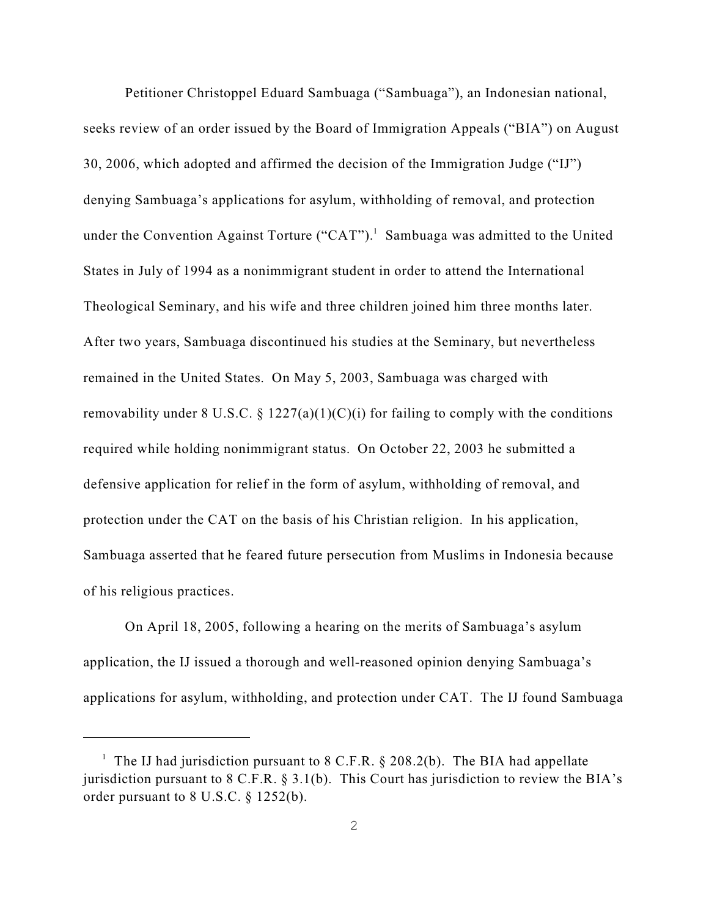Petitioner Christoppel Eduard Sambuaga ("Sambuaga"), an Indonesian national, seeks review of an order issued by the Board of Immigration Appeals ("BIA") on August 30, 2006, which adopted and affirmed the decision of the Immigration Judge ("IJ") denying Sambuaga's applications for asylum, withholding of removal, and protection under the Convention Against Torture ("CAT").<sup>1</sup> Sambuaga was admitted to the United States in July of 1994 as a nonimmigrant student in order to attend the International Theological Seminary, and his wife and three children joined him three months later. After two years, Sambuaga discontinued his studies at the Seminary, but nevertheless remained in the United States. On May 5, 2003, Sambuaga was charged with removability under 8 U.S.C. § 1227(a)(1)(C)(i) for failing to comply with the conditions required while holding nonimmigrant status. On October 22, 2003 he submitted a defensive application for relief in the form of asylum, withholding of removal, and protection under the CAT on the basis of his Christian religion. In his application, Sambuaga asserted that he feared future persecution from Muslims in Indonesia because of his religious practices.

On April 18, 2005, following a hearing on the merits of Sambuaga's asylum application, the IJ issued a thorough and well-reasoned opinion denying Sambuaga's applications for asylum, withholding, and protection under CAT. The IJ found Sambuaga

<sup>&</sup>lt;sup>1</sup> The IJ had jurisdiction pursuant to 8 C.F.R. § 208.2(b). The BIA had appellate jurisdiction pursuant to 8 C.F.R. § 3.1(b). This Court has jurisdiction to review the BIA's order pursuant to 8 U.S.C. § 1252(b).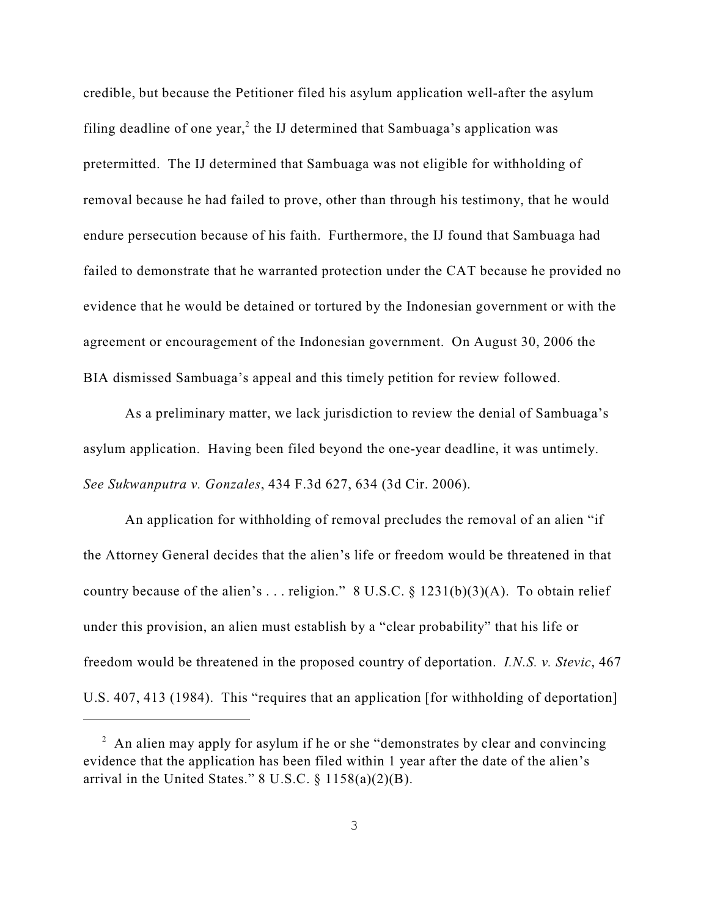credible, but because the Petitioner filed his asylum application well-after the asylum filing deadline of one year,<sup>2</sup> the IJ determined that Sambuaga's application was pretermitted. The IJ determined that Sambuaga was not eligible for withholding of removal because he had failed to prove, other than through his testimony, that he would endure persecution because of his faith. Furthermore, the IJ found that Sambuaga had failed to demonstrate that he warranted protection under the CAT because he provided no evidence that he would be detained or tortured by the Indonesian government or with the agreement or encouragement of the Indonesian government. On August 30, 2006 the BIA dismissed Sambuaga's appeal and this timely petition for review followed.

As a preliminary matter, we lack jurisdiction to review the denial of Sambuaga's asylum application. Having been filed beyond the one-year deadline, it was untimely. *See Sukwanputra v. Gonzales*, 434 F.3d 627, 634 (3d Cir. 2006).

An application for withholding of removal precludes the removal of an alien "if the Attorney General decides that the alien's life or freedom would be threatened in that country because of the alien's ... religion." 8 U.S.C. § 1231(b)(3)(A). To obtain relief under this provision, an alien must establish by a "clear probability" that his life or freedom would be threatened in the proposed country of deportation. *I.N.S. v. Stevic*, 467 U.S. 407, 413 (1984). This "requires that an application [for withholding of deportation]

 $\alpha$  An alien may apply for asylum if he or she "demonstrates by clear and convincing evidence that the application has been filed within 1 year after the date of the alien's arrival in the United States."  $8 \text{ U.S.C.} \$   $1158(a)(2)(B)$ .